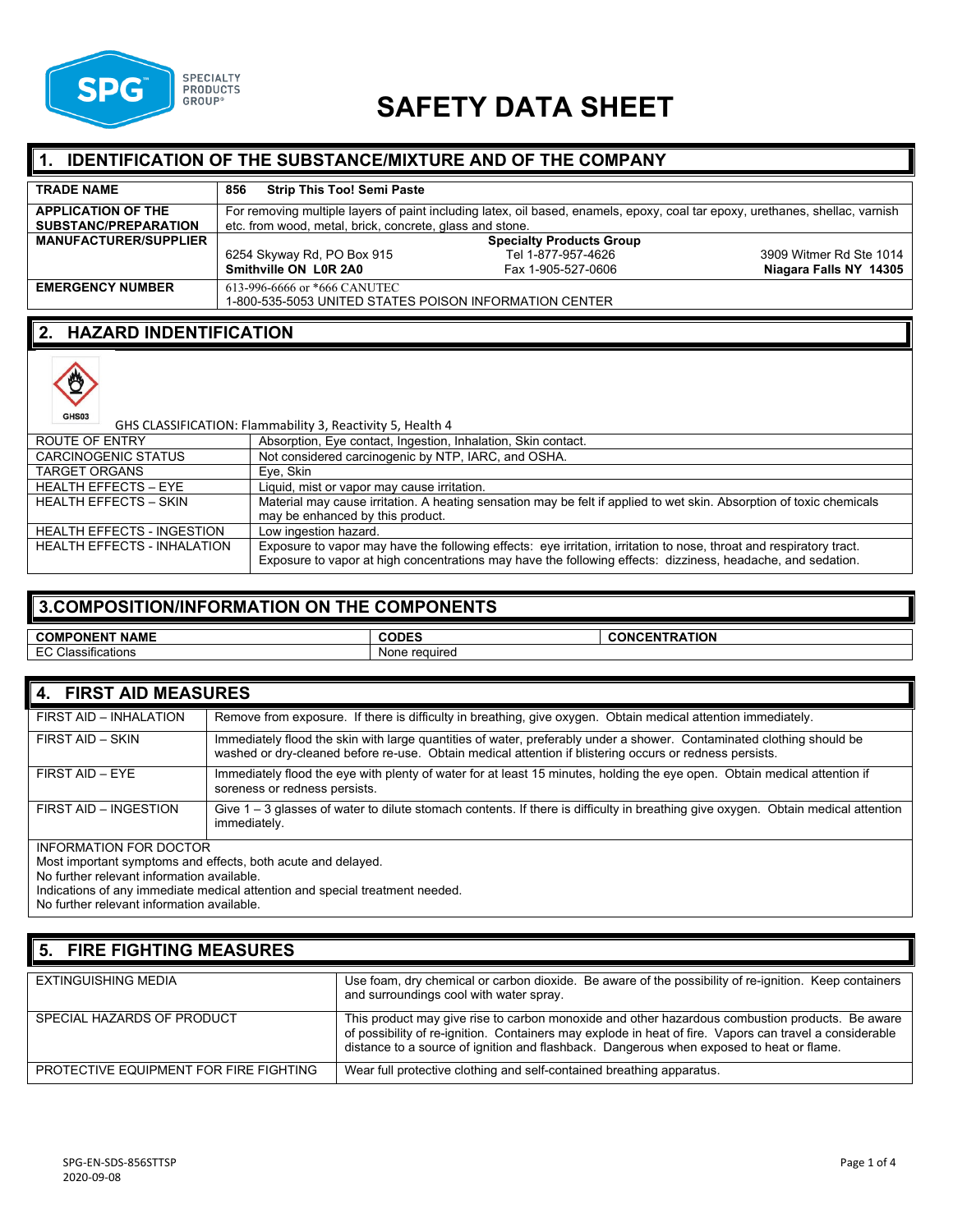

# **SAFETY DATA SHEET**

# **1. IDENTIFICATION OF THE SUBSTANCE/MIXTURE AND OF THE COMPANY**

| <b>TRADE NAME</b>            | <b>Strip This Too! Semi Paste</b><br>856                 |                                                                                                                               |                         |
|------------------------------|----------------------------------------------------------|-------------------------------------------------------------------------------------------------------------------------------|-------------------------|
| <b>APPLICATION OF THE</b>    |                                                          | For removing multiple layers of paint including latex, oil based, enamels, epoxy, coal tar epoxy, urethanes, shellac, varnish |                         |
| <b>SUBSTANC/PREPARATION</b>  | etc. from wood, metal, brick, concrete, glass and stone. |                                                                                                                               |                         |
| <b>MANUFACTURER/SUPPLIER</b> |                                                          | <b>Specialty Products Group</b>                                                                                               |                         |
|                              | 6254 Skyway Rd, PO Box 915                               | Tel 1-877-957-4626                                                                                                            | 3909 Witmer Rd Ste 1014 |
|                              | Smithville ON LOR 2A0                                    | Fax 1-905-527-0606                                                                                                            | Niagara Falls NY 14305  |
| <b>EMERGENCY NUMBER</b>      | 613-996-6666 or *666 CANUTEC                             |                                                                                                                               |                         |
|                              | 1-800-535-5053 UNITED STATES POISON INFORMATION CENTER   |                                                                                                                               |                         |

#### **2. HAZARD INDENTIFICATION**



| GHS CLASSIFICATION: Flammability 3, Reactivity 5, Health 4 |                                                                                                                                                                                                                                    |
|------------------------------------------------------------|------------------------------------------------------------------------------------------------------------------------------------------------------------------------------------------------------------------------------------|
| ROUTE OF ENTRY                                             | Absorption, Eye contact, Ingestion, Inhalation, Skin contact.                                                                                                                                                                      |
| <b>CARCINOGENIC STATUS</b>                                 | Not considered carcinogenic by NTP, IARC, and OSHA.                                                                                                                                                                                |
| <b>TARGET ORGANS</b>                                       | Eye, Skin                                                                                                                                                                                                                          |
| <b>HEALTH EFFECTS - EYE</b>                                | Liquid, mist or vapor may cause irritation.                                                                                                                                                                                        |
| <b>HEALTH EFFECTS - SKIN</b>                               | Material may cause irritation. A heating sensation may be felt if applied to wet skin. Absorption of toxic chemicals<br>may be enhanced by this product.                                                                           |
| <b>HEALTH EFFECTS - INGESTION</b>                          | Low ingestion hazard.                                                                                                                                                                                                              |
| <b>HEALTH EFFECTS - INHALATION</b>                         | Exposure to vapor may have the following effects: eye irritation, irritation to nose, throat and respiratory tract.<br>Exposure to vapor at high concentrations may have the following effects: dizziness, headache, and sedation. |

# **3.COMPOSITION/INFORMATION ON THE COMPONENTS**

| <b>NAME</b><br><b>COMPONEN</b><br>.          | $\cdots$<br>эF | <b>AOIT.</b><br>-----<br>- - -<br>'N<br>- - -<br>=N<br>$\cdot$ |
|----------------------------------------------|----------------|----------------------------------------------------------------|
| $\sim$<br>$\cdot$<br>ssifications<br>$ \sim$ | None reguired  |                                                                |

| 4. FIRST AID MEASURES                                                                                                   |                                                                                                                                                                                                                                  |  |
|-------------------------------------------------------------------------------------------------------------------------|----------------------------------------------------------------------------------------------------------------------------------------------------------------------------------------------------------------------------------|--|
| FIRST AID - INHALATION                                                                                                  | Remove from exposure. If there is difficulty in breathing, give oxygen. Obtain medical attention immediately.                                                                                                                    |  |
| FIRST AID - SKIN                                                                                                        | Immediately flood the skin with large quantities of water, preferably under a shower. Contaminated clothing should be<br>washed or dry-cleaned before re-use. Obtain medical attention if blistering occurs or redness persists. |  |
| FIRST AID - EYE                                                                                                         | Immediately flood the eye with plenty of water for at least 15 minutes, holding the eye open. Obtain medical attention if<br>soreness or redness persists.                                                                       |  |
| FIRST AID - INGESTION                                                                                                   | Give 1 – 3 glasses of water to dilute stomach contents. If there is difficulty in breathing give oxygen. Obtain medical attention<br>immediately.                                                                                |  |
| <b>INFORMATION FOR DOCTOR</b>                                                                                           |                                                                                                                                                                                                                                  |  |
| Most important symptoms and effects, both acute and delayed.                                                            |                                                                                                                                                                                                                                  |  |
| No further relevant information available.                                                                              |                                                                                                                                                                                                                                  |  |
| المناولة والمستقرة والمستقل والمناور والمستقل والمتعالج والمستقل والمستقل والمستقل والمناور والمتعالج والمستقل والمستقل |                                                                                                                                                                                                                                  |  |

Indications of any immediate medical attention and special treatment needed.

No further relevant information available.

# **5. FIRE FIGHTING MEASURES**

| EXTINGUISHING MEDIA                    | Use foam, dry chemical or carbon dioxide. Be aware of the possibility of re-ignition. Keep containers<br>and surroundings cool with water spray.                                                                                                                                                       |
|----------------------------------------|--------------------------------------------------------------------------------------------------------------------------------------------------------------------------------------------------------------------------------------------------------------------------------------------------------|
| SPECIAL HAZARDS OF PRODUCT             | This product may give rise to carbon monoxide and other hazardous combustion products. Be aware<br>of possibility of re-ignition. Containers may explode in heat of fire. Vapors can travel a considerable<br>distance to a source of ignition and flashback. Dangerous when exposed to heat or flame. |
| PROTECTIVE EQUIPMENT FOR FIRE FIGHTING | Wear full protective clothing and self-contained breathing apparatus.                                                                                                                                                                                                                                  |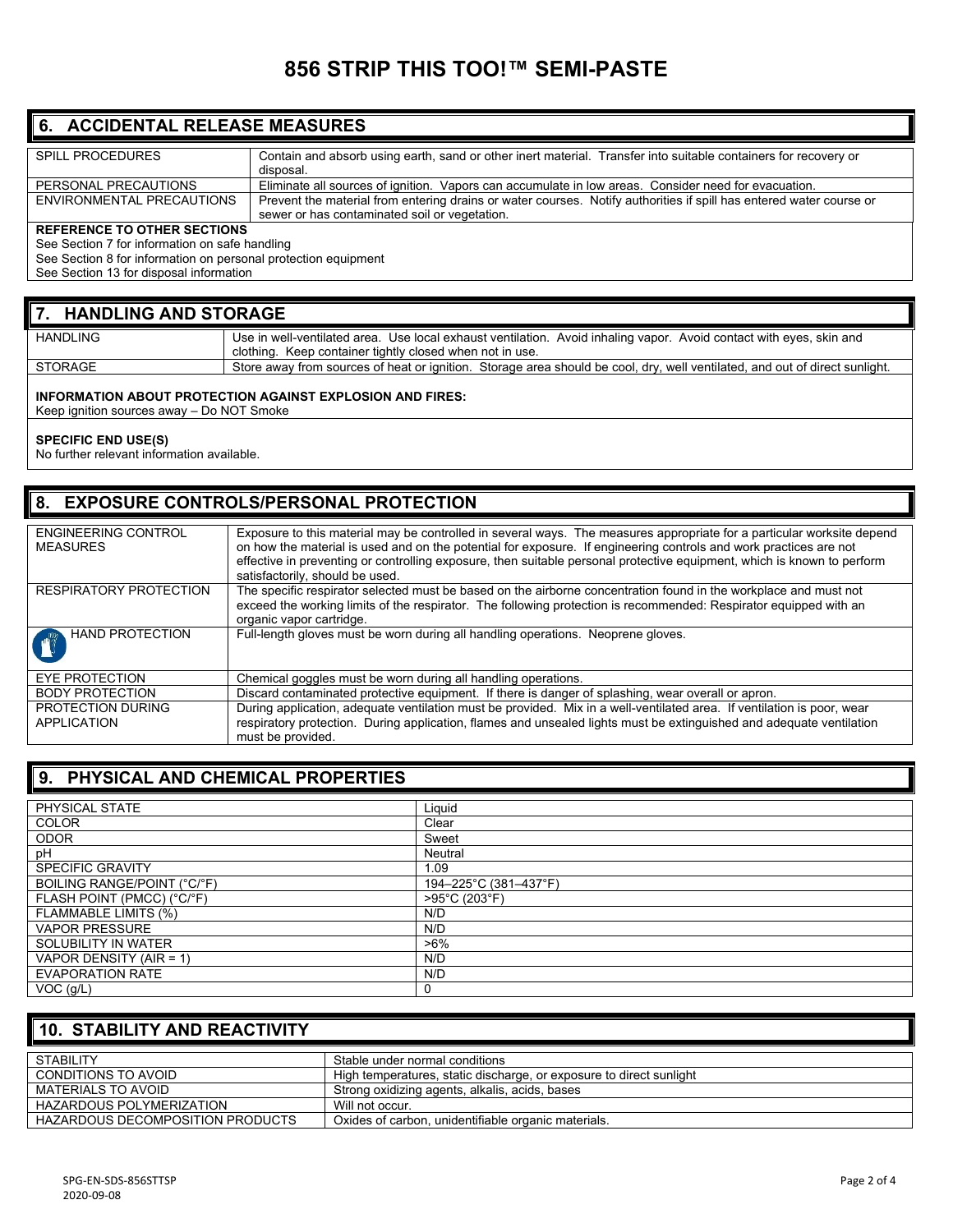# **856 STRIP THIS TOO!™ SEMI-PASTE**

#### **6. ACCIDENTAL RELEASE MEASURES**

| <b>SPILL PROCEDURES</b>      | Contain and absorb using earth, sand or other inert material. Transfer into suitable containers for recovery or     |
|------------------------------|---------------------------------------------------------------------------------------------------------------------|
|                              | disposal.                                                                                                           |
| PERSONAL PRECAUTIONS         | Eliminate all sources of ignition. Vapors can accumulate in low areas. Consider need for evacuation.                |
| ENVIRONMENTAL PRECAUTIONS    | Prevent the material from entering drains or water courses. Notify authorities if spill has entered water course or |
|                              | sewer or has contaminated soil or vegetation.                                                                       |
| REFERENCE TO OTHER SECTIONS. |                                                                                                                     |

#### **REFERENCE TO OTHER SECTIONS**

See Section 7 for information on safe handling

See Section 8 for information on personal protection equipment

See Section 13 for disposal information

#### **7. HANDLING AND STORAGE**

| <b>HANDLING</b> | Use in well-ventilated area. Use local exhaust ventilation. Avoid inhaling vapor. Avoid contact with eyes, skin and         |
|-----------------|-----------------------------------------------------------------------------------------------------------------------------|
|                 | clothing. Keep container tightly closed when not in use.                                                                    |
| STORAGE         | Store away from sources of heat or ignition. Storage area should be cool, dry, well ventilated, and out of direct sunlight. |
|                 |                                                                                                                             |

#### **INFORMATION ABOUT PROTECTION AGAINST EXPLOSION AND FIRES:**

Keep ignition sources away – Do NOT Smoke

#### **SPECIFIC END USE(S)**

No further relevant information available.

#### **8. EXPOSURE CONTROLS/PERSONAL PROTECTION**

| <b>ENGINEERING CONTROL</b><br><b>MEASURES</b> | Exposure to this material may be controlled in several ways. The measures appropriate for a particular worksite depend<br>on how the material is used and on the potential for exposure. If engineering controls and work practices are not<br>effective in preventing or controlling exposure, then suitable personal protective equipment, which is known to perform<br>satisfactorily, should be used. |
|-----------------------------------------------|-----------------------------------------------------------------------------------------------------------------------------------------------------------------------------------------------------------------------------------------------------------------------------------------------------------------------------------------------------------------------------------------------------------|
| <b>RESPIRATORY PROTECTION</b>                 | The specific respirator selected must be based on the airborne concentration found in the workplace and must not<br>exceed the working limits of the respirator. The following protection is recommended: Respirator equipped with an<br>organic vapor cartridge.                                                                                                                                         |
| <b>HAND PROTECTION</b>                        | Full-length gloves must be worn during all handling operations. Neoprene gloves.                                                                                                                                                                                                                                                                                                                          |
| <b>EYE PROTECTION</b>                         | Chemical goggles must be worn during all handling operations.                                                                                                                                                                                                                                                                                                                                             |
| <b>BODY PROTECTION</b>                        | Discard contaminated protective equipment. If there is danger of splashing, wear overall or apron.                                                                                                                                                                                                                                                                                                        |
| PROTECTION DURING<br><b>APPLICATION</b>       | During application, adequate ventilation must be provided. Mix in a well-ventilated area. If ventilation is poor, wear<br>respiratory protection. During application, flames and unsealed lights must be extinguished and adequate ventilation<br>must be provided.                                                                                                                                       |

### **9. PHYSICAL AND CHEMICAL PROPERTIES**

| Liquid                |
|-----------------------|
| Clear                 |
| Sweet                 |
| Neutral               |
| 1.09                  |
| 194-225°C (381-437°F) |
| >95°C (203°F)         |
| N/D                   |
| N/D                   |
| $>6\%$                |
| N/D                   |
| N/D                   |
| 0                     |
|                       |

# **10. STABILITY AND REACTIVITY**

| <b>STABILITY</b>                 | Stable under normal conditions                                      |
|----------------------------------|---------------------------------------------------------------------|
| CONDITIONS TO AVOID              | High temperatures, static discharge, or exposure to direct sunlight |
| MATERIALS TO AVOID               | Strong oxidizing agents, alkalis, acids, bases                      |
| HAZARDOUS POLYMERIZATION         | Will not occur.                                                     |
| HAZARDOUS DECOMPOSITION PRODUCTS | Oxides of carbon, unidentifiable organic materials.                 |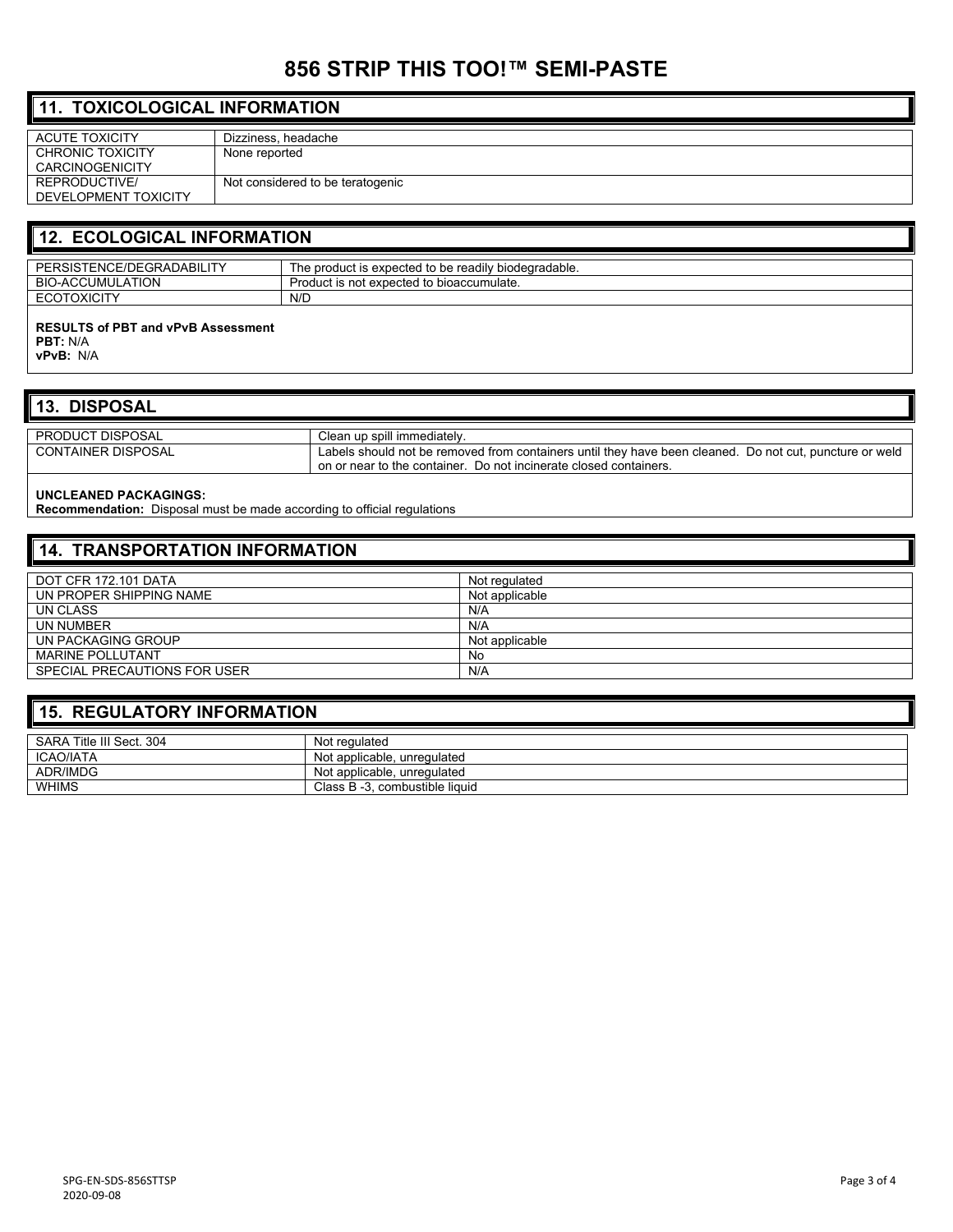# **856 STRIP THIS TOO!™ SEMI-PASTE**

| $\parallel$ 11. TOXICOLOGICAL INFORMATION |                                  |  |
|-------------------------------------------|----------------------------------|--|
| <b>ACUTE TOXICITY</b>                     | Dizziness, headache              |  |
| CHRONIC TOXICITY                          | None reported                    |  |
| <b>CARCINOGENICITY</b>                    |                                  |  |
| REPRODUCTIVE/                             | Not considered to be teratogenic |  |
| DEVELOPMENT TOXICITY                      |                                  |  |
|                                           |                                  |  |

# **12. ECOLOGICAL INFORMATION**

| TENCE/DEGRADABILIT<br>$\overline{1}$<br>D⊏            | <br>$\overline{\phantom{a}}$<br>The product is expected to be readily biodegradable. |
|-------------------------------------------------------|--------------------------------------------------------------------------------------|
| <b>ATION</b><br><b>BIO</b><br><b>\CCUMULA</b><br>.⊥A′ | l to bioaccumulate.<br>: expected<br>Product is not<br>15 HUL                        |
| ידומועמי<br>$E^{\sim}$<br>JAIUL.                      | N/D                                                                                  |
|                                                       |                                                                                      |

#### **RESULTS of PBT and vPvB Assessment PBT:** N/A

**vPvB:** N/A

### **13. DISPOSAL**

| <b>PRODUCT DISPOSAL</b>   | Clean up spill immediately.                                                                                                                                                  |
|---------------------------|------------------------------------------------------------------------------------------------------------------------------------------------------------------------------|
| <b>CONTAINER DISPOSAL</b> | Labels should not be removed from containers until they have been cleaned. Do not cut, puncture or weld<br>on or near to the container. Do not incinerate closed containers. |

#### **UNCLEANED PACKAGINGS:**

**Recommendation:** Disposal must be made according to official regulations

| 14. TRANSPORTATION INFORMATION |                |  |
|--------------------------------|----------------|--|
| DOT CFR 172.101 DATA           | Not regulated  |  |
| UN PROPER SHIPPING NAME        | Not applicable |  |
| UN CLASS                       | N/A            |  |
| UN NUMBER                      | N/A            |  |
| UN PACKAGING GROUP             | Not applicable |  |
| <b>MARINE POLLUTANT</b>        | No             |  |
| SPECIAL PRECAUTIONS FOR USER   | N/A            |  |

#### **15. REGULATORY INFORMATION**

| SARA Title III Sect. 304 | Not regulated                  |
|--------------------------|--------------------------------|
| <b>ICAO/IATA</b>         | Not applicable, unregulated    |
| <b>ADR/IMDG</b>          | Not applicable, unregulated    |
| WHIMS                    | Class B -3, combustible liquid |